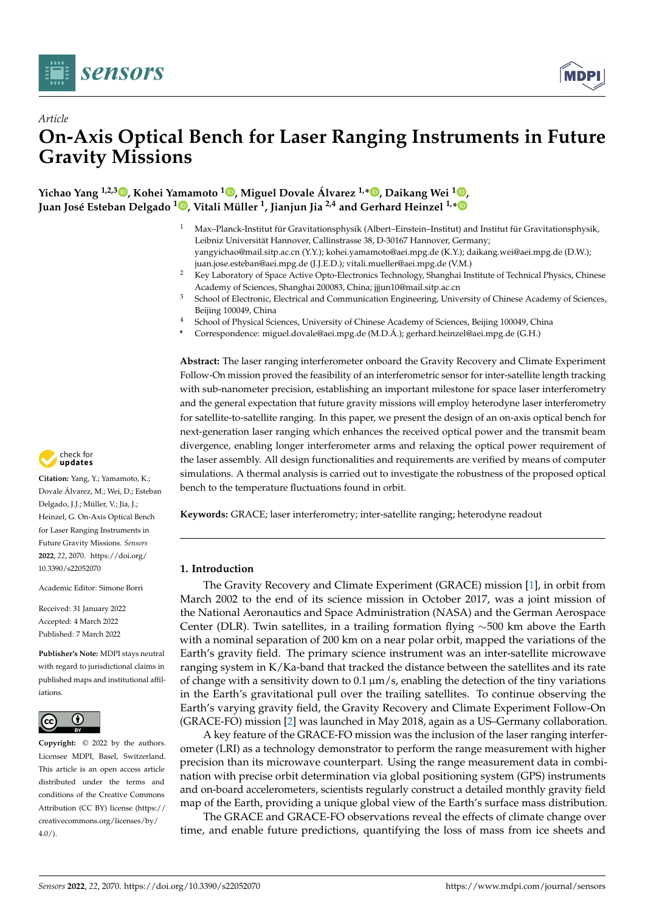



# *Article* **On-Axis Optical Bench for Laser Ranging Instruments in Future Gravity Missions**

**Yichao Yang 1,2,3 [,](https://orcid.org/0000-0003-0553-4362) Kohei Yamamoto <sup>1</sup> [,](https://orcid.org/0000-0002-5064-4619) Miguel Dovale Álvarez 1,[\\*](https://orcid.org/0000-0002-6300-5226) , Daikang Wei <sup>1</sup> [,](https://orcid.org/0000-0001-5409-926X) Juan José Esteban Delgado [1](https://orcid.org/0000-0002-7613-3681) , Vitali Müller <sup>1</sup> , Jianjun Jia 2,4 and Gerhard Heinzel 1,[\\*](https://orcid.org/0000-0003-1661-7868)**

- <sup>1</sup> Max–Planck-Institut für Gravitationsphysik (Albert–Einstein–Institut) and Institut für Gravitationsphysik, Leibniz Universität Hannover, Callinstrasse 38, D-30167 Hannover, Germany; yangyichao@mail.sitp.ac.cn (Y.Y.); kohei.yamamoto@aei.mpg.de (K.Y.); daikang.wei@aei.mpg.de (D.W.); juan.jose.esteban@aei.mpg.de (J.J.E.D.); vitali.mueller@aei.mpg.de (V.M.)
- <sup>2</sup> Key Laboratory of Space Active Opto-Electronics Technology, Shanghai Institute of Technical Physics, Chinese Academy of Sciences, Shanghai 200083, China; jjjun10@mail.sitp.ac.cn
- <sup>3</sup> School of Electronic, Electrical and Communication Engineering, University of Chinese Academy of Sciences, Beijing 100049, China
- <sup>4</sup> School of Physical Sciences, University of Chinese Academy of Sciences, Beijing 100049, China
- **\*** Correspondence: miguel.dovale@aei.mpg.de (M.D.Á.); gerhard.heinzel@aei.mpg.de (G.H.)

**Abstract:** The laser ranging interferometer onboard the Gravity Recovery and Climate Experiment Follow-On mission proved the feasibility of an interferometric sensor for inter-satellite length tracking with sub-nanometer precision, establishing an important milestone for space laser interferometry and the general expectation that future gravity missions will employ heterodyne laser interferometry for satellite-to-satellite ranging. In this paper, we present the design of an on-axis optical bench for next-generation laser ranging which enhances the received optical power and the transmit beam divergence, enabling longer interferometer arms and relaxing the optical power requirement of the laser assembly. All design functionalities and requirements are verified by means of computer simulations. A thermal analysis is carried out to investigate the robustness of the proposed optical bench to the temperature fluctuations found in orbit.

**Keywords:** GRACE; laser interferometry; inter-satellite ranging; heterodyne readout

# **1. Introduction**

The Gravity Recovery and Climate Experiment (GRACE) mission [\[1\]](#page-14-0), in orbit from March 2002 to the end of its science mission in October 2017, was a joint mission of the National Aeronautics and Space Administration (NASA) and the German Aerospace Center (DLR). Twin satellites, in a trailing formation flying  $\sim$ 500 km above the Earth with a nominal separation of 200 km on a near polar orbit, mapped the variations of the Earth's gravity field. The primary science instrument was an inter-satellite microwave ranging system in K/Ka-band that tracked the distance between the satellites and its rate of change with a sensitivity down to  $0.1 \mu m/s$ , enabling the detection of the tiny variations in the Earth's gravitational pull over the trailing satellites. To continue observing the Earth's varying gravity field, the Gravity Recovery and Climate Experiment Follow-On (GRACE-FO) mission [\[2\]](#page-14-1) was launched in May 2018, again as a US–Germany collaboration.

A key feature of the GRACE-FO mission was the inclusion of the laser ranging interferometer (LRI) as a technology demonstrator to perform the range measurement with higher precision than its microwave counterpart. Using the range measurement data in combination with precise orbit determination via global positioning system (GPS) instruments and on-board accelerometers, scientists regularly construct a detailed monthly gravity field map of the Earth, providing a unique global view of the Earth's surface mass distribution.

The GRACE and GRACE-FO observations reveal the effects of climate change over time, and enable future predictions, quantifying the loss of mass from ice sheets and



**Citation:** Yang, Y.; Yamamoto, K.; Dovale Álvarez, M.; Wei, D.; Esteban Delgado, J.J.; Müller, V.; Jia, J.; Heinzel, G. On-Axis Optical Bench for Laser Ranging Instruments in Future Gravity Missions. *Sensors* **2022**, *22*, 2070. [https://doi.org/](https://doi.org/10.3390/s22052070) [10.3390/s22052070](https://doi.org/10.3390/s22052070)

Academic Editor: Simone Borri

Received: 31 January 2022 Accepted: 4 March 2022 Published: 7 March 2022

**Publisher's Note:** MDPI stays neutral with regard to jurisdictional claims in published maps and institutional affiliations.



**Copyright:** © 2022 by the authors. Licensee MDPI, Basel, Switzerland. This article is an open access article distributed under the terms and conditions of the Creative Commons Attribution (CC BY) license [\(https://](https://creativecommons.org/licenses/by/4.0/) [creativecommons.org/licenses/by/](https://creativecommons.org/licenses/by/4.0/)  $4.0/$ ).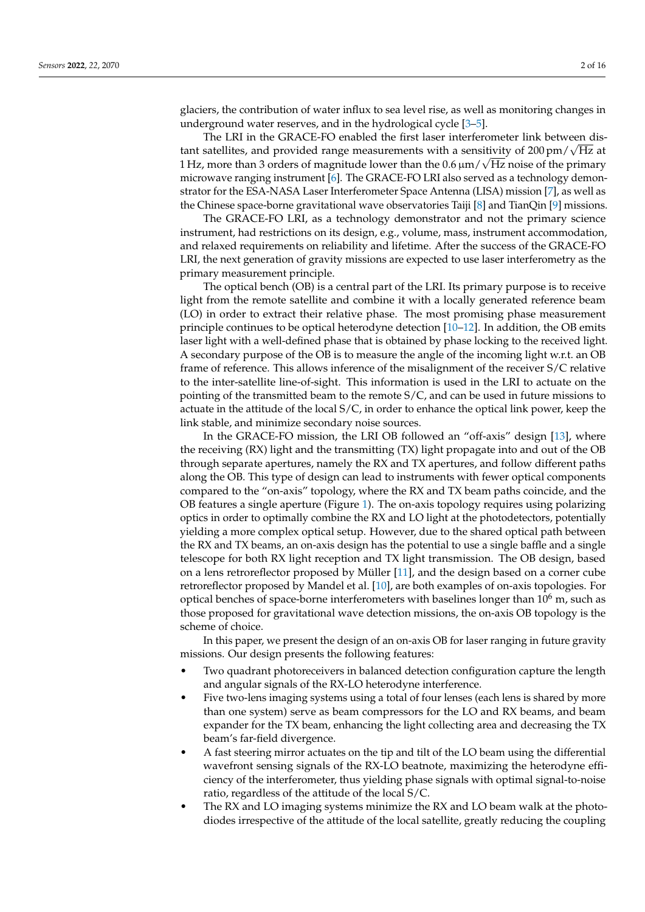glaciers, the contribution of water influx to sea level rise, as well as monitoring changes in underground water reserves, and in the hydrological cycle [\[3–](#page-14-2)[5\]](#page-14-3).

The LRI in the GRACE-FO enabled the first laser interferometer link between dis-The LKI in the GRACE-FO enabled the first laser interferometer link between distant satellites, and provided range measurements with a sensitivity of  $200 \text{ pm}/\sqrt{\text{Hz}}$  at  $1\,\mathrm{Hz}$ , more than 3 orders of magnitude lower than the  $0.6\,\mathrm{\mu m}/\sqrt{\mathrm{Hz}}$  noise of the primary microwave ranging instrument [\[6\]](#page-14-4). The GRACE-FO LRI also served as a technology demonstrator for the ESA-NASA Laser Interferometer Space Antenna (LISA) mission [\[7\]](#page-14-5), as well as the Chinese space-borne gravitational wave observatories Taiji [\[8\]](#page-14-6) and TianQin [\[9\]](#page-14-7) missions.

The GRACE-FO LRI, as a technology demonstrator and not the primary science instrument, had restrictions on its design, e.g., volume, mass, instrument accommodation, and relaxed requirements on reliability and lifetime. After the success of the GRACE-FO LRI, the next generation of gravity missions are expected to use laser interferometry as the primary measurement principle.

The optical bench (OB) is a central part of the LRI. Its primary purpose is to receive light from the remote satellite and combine it with a locally generated reference beam (LO) in order to extract their relative phase. The most promising phase measurement principle continues to be optical heterodyne detection [\[10–](#page-14-8)[12\]](#page-14-9). In addition, the OB emits laser light with a well-defined phase that is obtained by phase locking to the received light. A secondary purpose of the OB is to measure the angle of the incoming light w.r.t. an OB frame of reference. This allows inference of the misalignment of the receiver S/C relative to the inter-satellite line-of-sight. This information is used in the LRI to actuate on the pointing of the transmitted beam to the remote S/C, and can be used in future missions to actuate in the attitude of the local  $S/C$ , in order to enhance the optical link power, keep the link stable, and minimize secondary noise sources.

In the GRACE-FO mission, the LRI OB followed an "off-axis" design [\[13\]](#page-14-10), where the receiving (RX) light and the transmitting (TX) light propagate into and out of the OB through separate apertures, namely the RX and TX apertures, and follow different paths along the OB. This type of design can lead to instruments with fewer optical components compared to the "on-axis" topology, where the RX and TX beam paths coincide, and the OB features a single aperture (Figure [1\)](#page-2-0). The on-axis topology requires using polarizing optics in order to optimally combine the RX and LO light at the photodetectors, potentially yielding a more complex optical setup. However, due to the shared optical path between the RX and TX beams, an on-axis design has the potential to use a single baffle and a single telescope for both RX light reception and TX light transmission. The OB design, based on a lens retroreflector proposed by Müller [\[11\]](#page-14-11), and the design based on a corner cube retroreflector proposed by Mandel et al. [\[10\]](#page-14-8), are both examples of on-axis topologies. For optical benches of space-borne interferometers with baselines longer than  $10<sup>6</sup>$  m, such as those proposed for gravitational wave detection missions, the on-axis OB topology is the scheme of choice.

In this paper, we present the design of an on-axis OB for laser ranging in future gravity missions. Our design presents the following features:

- Two quadrant photoreceivers in balanced detection configuration capture the length and angular signals of the RX-LO heterodyne interference.
- Five two-lens imaging systems using a total of four lenses (each lens is shared by more than one system) serve as beam compressors for the LO and RX beams, and beam expander for the TX beam, enhancing the light collecting area and decreasing the TX beam's far-field divergence.
- A fast steering mirror actuates on the tip and tilt of the LO beam using the differential wavefront sensing signals of the RX-LO beatnote, maximizing the heterodyne efficiency of the interferometer, thus yielding phase signals with optimal signal-to-noise ratio, regardless of the attitude of the local S/C.
- The RX and LO imaging systems minimize the RX and LO beam walk at the photodiodes irrespective of the attitude of the local satellite, greatly reducing the coupling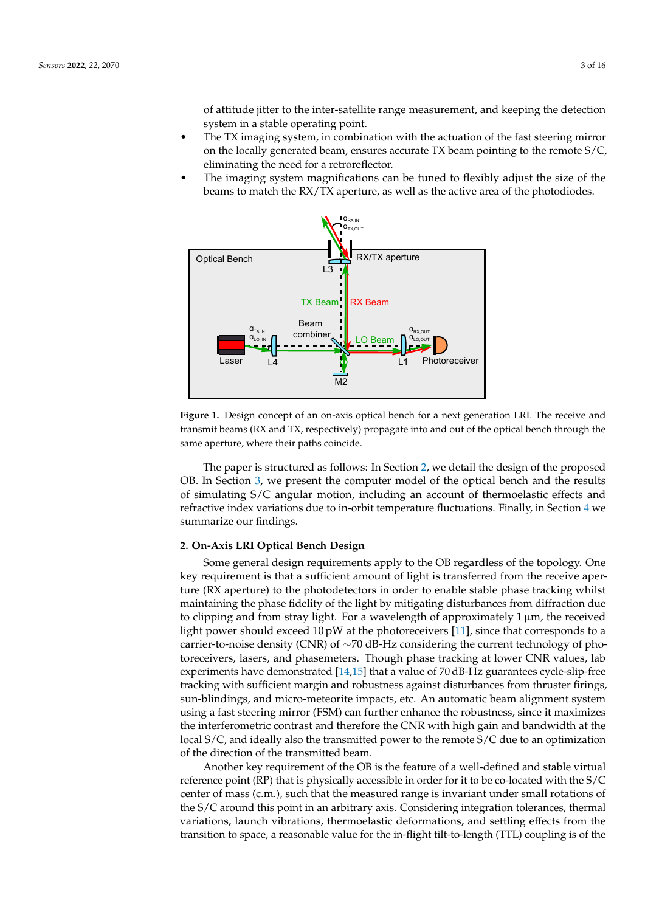of attitude jitter to the inter-satellite range measurement, and keeping the detection system in a stable operating point.

- The TX imaging system, in combination with the actuation of the fast steering mirror on the locally generated beam, ensures accurate TX beam pointing to the remote  $S/C$ , eliminating the need for a retroreflector.
- The imaging system magnifications can be tuned to flexibly adjust the size of the beams to match the RX/TX aperture, as well as the active area of the photodiodes.

<span id="page-2-0"></span>

**Figure 1.** Design concept of an on-axis optical bench for a next generation LRI. The receive and transmit beams (RX and TX, respectively) propagate into and out of the optical bench through the same aperture, where their paths coincide.

The paper is structured as follows: In Section [2,](#page-2-1) we detail the design of the proposed OB. In Section [3,](#page-7-0) we present the computer model of the optical bench and the results of simulating S/C angular motion, including an account of thermoelastic effects and refractive index variations due to in-orbit temperature fluctuations. Finally, in Section [4](#page-12-0) we summarize our findings.

# <span id="page-2-1"></span>**2. On-Axis LRI Optical Bench Design**

Some general design requirements apply to the OB regardless of the topology. One key requirement is that a sufficient amount of light is transferred from the receive aperture (RX aperture) to the photodetectors in order to enable stable phase tracking whilst maintaining the phase fidelity of the light by mitigating disturbances from diffraction due to clipping and from stray light. For a wavelength of approximately  $1 \mu m$ , the received light power should exceed 10 pW at the photoreceivers [\[11\]](#page-14-11), since that corresponds to a carrier-to-noise density (CNR) of ∼70 dB-Hz considering the current technology of photoreceivers, lasers, and phasemeters. Though phase tracking at lower CNR values, lab experiments have demonstrated [\[14](#page-14-12)[,15\]](#page-14-13) that a value of 70 dB-Hz guarantees cycle-slip-free tracking with sufficient margin and robustness against disturbances from thruster firings, sun-blindings, and micro-meteorite impacts, etc. An automatic beam alignment system using a fast steering mirror (FSM) can further enhance the robustness, since it maximizes the interferometric contrast and therefore the CNR with high gain and bandwidth at the local S/C, and ideally also the transmitted power to the remote S/C due to an optimization of the direction of the transmitted beam.

Another key requirement of the OB is the feature of a well-defined and stable virtual reference point (RP) that is physically accessible in order for it to be co-located with the S/C center of mass (c.m.), such that the measured range is invariant under small rotations of the S/C around this point in an arbitrary axis. Considering integration tolerances, thermal variations, launch vibrations, thermoelastic deformations, and settling effects from the transition to space, a reasonable value for the in-flight tilt-to-length (TTL) coupling is of the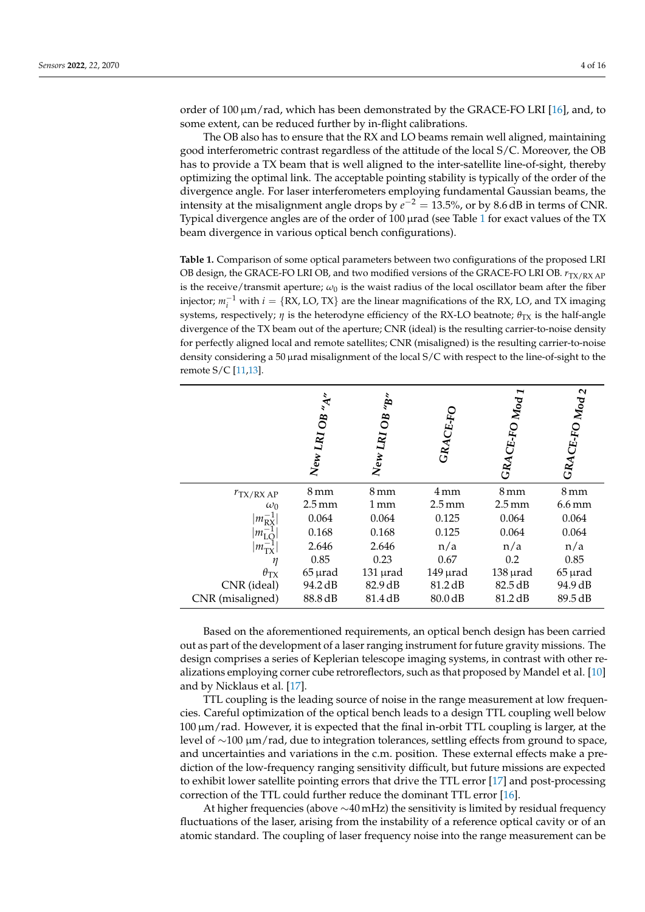order of 100  $\mu$ m/rad, which has been demonstrated by the GRACE-FO LRI [\[16\]](#page-14-14), and, to some extent, can be reduced further by in-flight calibrations.

The OB also has to ensure that the RX and LO beams remain well aligned, maintaining good interferometric contrast regardless of the attitude of the local S/C. Moreover, the OB has to provide a TX beam that is well aligned to the inter-satellite line-of-sight, thereby optimizing the optimal link. The acceptable pointing stability is typically of the order of the divergence angle. For laser interferometers employing fundamental Gaussian beams, the intensity at the misalignment angle drops by  $e^{-2} = 13.5$ %, or by 8.6 dB in terms of CNR. Typical divergence angles are of the order of 100 µrad (see Table [1](#page-3-0) for exact values of the TX beam divergence in various optical bench configurations).

<span id="page-3-0"></span>**Table 1.** Comparison of some optical parameters between two configurations of the proposed LRI OB design, the GRACE-FO LRI OB, and two modified versions of the GRACE-FO LRI OB.  $r_{TX/RX AP}$ is the receive/transmit aperture;  $\omega_0$  is the waist radius of the local oscillator beam after the fiber injector;  $m_i^{-1}$  with  $i = \{RX, LO, TX\}$  are the linear magnifications of the RX, LO, and TX imaging systems, respectively;  $\eta$  is the heterodyne efficiency of the RX-LO beatnote;  $\theta_{TX}$  is the half-angle divergence of the TX beam out of the aperture; CNR (ideal) is the resulting carrier-to-noise density for perfectly aligned local and remote satellites; CNR (misaligned) is the resulting carrier-to-noise density considering a 50 µrad misalignment of the local S/C with respect to the line-of-sight to the remote S/C [\[11](#page-14-11)[,13\]](#page-14-10).

|                       | $\overline{O}$<br>New LRI | š,<br>$\mathbf{g}$<br>New LRI | CE-FO<br>GRA        | I<br>Mod<br>$CE-FO$<br>GRA | $\boldsymbol{\mathsf{N}}$<br>${\rm GRACE\text{-}FO\,M_{0d}}$ |
|-----------------------|---------------------------|-------------------------------|---------------------|----------------------------|--------------------------------------------------------------|
| $r_{\text{TX/RX AP}}$ | 8 mm                      | 8 mm                          | 4mm                 | $8 \,\mathrm{mm}$          | $8 \,\mathrm{mm}$                                            |
| $\omega_0$            | $2.5 \,\mathrm{mm}$       | 1 mm                          | $2.5 \,\mathrm{mm}$ | $2.5 \,\mathrm{mm}$        | $6.6 \,\mathrm{mm}$                                          |
| $1m_{\rm RX}$         | 0.064                     | 0.064                         | 0.125               | 0.064                      | 0.064                                                        |
| $1m_{\rm LC}$         | 0.168                     | 0.168                         | 0.125               | 0.064                      | 0.064                                                        |
| $ m_{\rm TX} $        | 2.646                     | 2.646                         | n/a                 | n/a                        | n/a                                                          |
| η                     | 0.85                      | 0.23                          | 0.67                | 0.2                        | 0.85                                                         |
| $\theta_{\rm TX}$     | $65 \mu$ rad              | $131 \mu$ rad                 | $149$ $\mu$ rad     | $138 \mu$ rad              | $65 \mu$ rad                                                 |
| CNR (ideal)           | 94.2 dB                   | 82.9 dB                       | 81.2 dB             | 82.5 dB                    | 94.9 dB                                                      |
| CNR (misaligned)      | 88.8 dB                   | 81.4 dB                       | 80.0 dB             | 81.2 dB                    | 89.5 dB                                                      |

Based on the aforementioned requirements, an optical bench design has been carried out as part of the development of a laser ranging instrument for future gravity missions. The design comprises a series of Keplerian telescope imaging systems, in contrast with other realizations employing corner cube retroreflectors, such as that proposed by Mandel et al. [\[10\]](#page-14-8) and by Nicklaus et al. [\[17\]](#page-15-0).

TTL coupling is the leading source of noise in the range measurement at low frequencies. Careful optimization of the optical bench leads to a design TTL coupling well below 100 µm/rad. However, it is expected that the final in-orbit TTL coupling is larger, at the level of ∼100 µm/rad, due to integration tolerances, settling effects from ground to space, and uncertainties and variations in the c.m. position. These external effects make a prediction of the low-frequency ranging sensitivity difficult, but future missions are expected to exhibit lower satellite pointing errors that drive the TTL error [\[17\]](#page-15-0) and post-processing correction of the TTL could further reduce the dominant TTL error [\[16\]](#page-14-14).

At higher frequencies (above  $\sim$ 40 mHz) the sensitivity is limited by residual frequency fluctuations of the laser, arising from the instability of a reference optical cavity or of an atomic standard. The coupling of laser frequency noise into the range measurement can be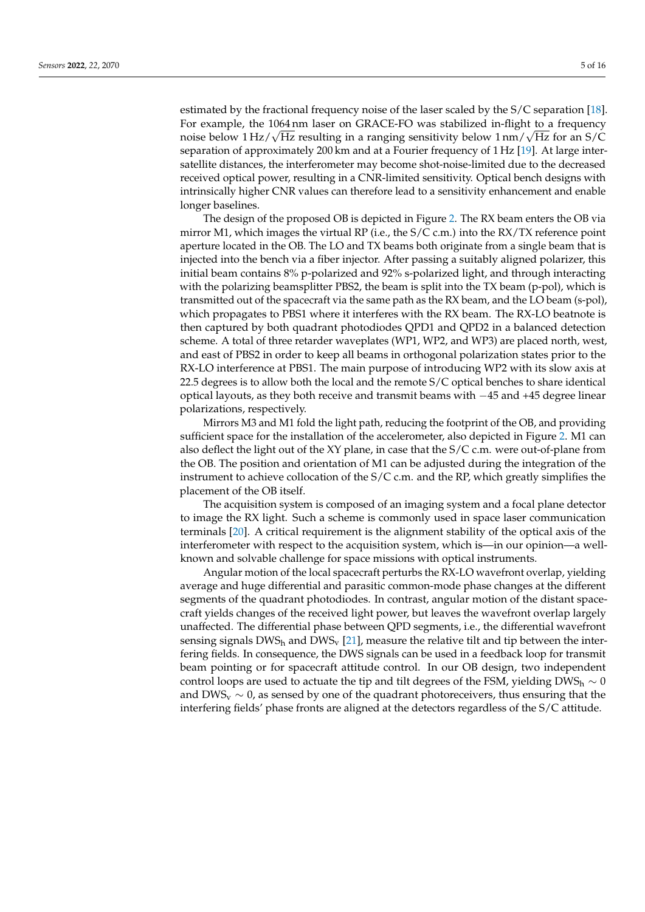estimated by the fractional frequency noise of the laser scaled by the S/C separation [\[18\]](#page-15-1). For example, the 1064 nm laser on GRACE-FO was stabilized in-flight to a frequency ror example, the 1064 nm laser on GRACE-FO was stabilized in-flight to a frequency<br>noise below 1 Hz/√Hz resulting in a ranging sensitivity below 1 nm/√Hz for an S/C separation of approximately 200 km and at a Fourier frequency of 1 Hz [\[19\]](#page-15-2). At large intersatellite distances, the interferometer may become shot-noise-limited due to the decreased received optical power, resulting in a CNR-limited sensitivity. Optical bench designs with intrinsically higher CNR values can therefore lead to a sensitivity enhancement and enable longer baselines.

The design of the proposed OB is depicted in Figure [2.](#page-5-0) The RX beam enters the OB via mirror M1, which images the virtual RP (i.e., the  $S/C$  c.m.) into the RX/TX reference point aperture located in the OB. The LO and TX beams both originate from a single beam that is injected into the bench via a fiber injector. After passing a suitably aligned polarizer, this initial beam contains 8% p-polarized and 92% s-polarized light, and through interacting with the polarizing beamsplitter PBS2, the beam is split into the TX beam (p-pol), which is transmitted out of the spacecraft via the same path as the RX beam, and the LO beam (s-pol), which propagates to PBS1 where it interferes with the RX beam. The RX-LO beatnote is then captured by both quadrant photodiodes QPD1 and QPD2 in a balanced detection scheme. A total of three retarder waveplates (WP1, WP2, and WP3) are placed north, west, and east of PBS2 in order to keep all beams in orthogonal polarization states prior to the RX-LO interference at PBS1. The main purpose of introducing WP2 with its slow axis at 22.5 degrees is to allow both the local and the remote S/C optical benches to share identical optical layouts, as they both receive and transmit beams with −45 and +45 degree linear polarizations, respectively.

Mirrors M3 and M1 fold the light path, reducing the footprint of the OB, and providing sufficient space for the installation of the accelerometer, also depicted in Figure [2.](#page-5-0) M1 can also deflect the light out of the XY plane, in case that the S/C c.m. were out-of-plane from the OB. The position and orientation of M1 can be adjusted during the integration of the instrument to achieve collocation of the S/C c.m. and the RP, which greatly simplifies the placement of the OB itself.

The acquisition system is composed of an imaging system and a focal plane detector to image the RX light. Such a scheme is commonly used in space laser communication terminals [\[20\]](#page-15-3). A critical requirement is the alignment stability of the optical axis of the interferometer with respect to the acquisition system, which is—in our opinion—a wellknown and solvable challenge for space missions with optical instruments.

Angular motion of the local spacecraft perturbs the RX-LO wavefront overlap, yielding average and huge differential and parasitic common-mode phase changes at the different segments of the quadrant photodiodes. In contrast, angular motion of the distant spacecraft yields changes of the received light power, but leaves the wavefront overlap largely unaffected. The differential phase between QPD segments, i.e., the differential wavefront sensing signals  $DWS_h$  and  $DWS_v$  [\[21\]](#page-15-4), measure the relative tilt and tip between the interfering fields. In consequence, the DWS signals can be used in a feedback loop for transmit beam pointing or for spacecraft attitude control. In our OB design, two independent control loops are used to actuate the tip and tilt degrees of the FSM, yielding DWS<sub>h</sub>  $\sim$  0 and DWS<sub>v</sub>  $\sim$  0, as sensed by one of the quadrant photoreceivers, thus ensuring that the interfering fields' phase fronts are aligned at the detectors regardless of the S/C attitude.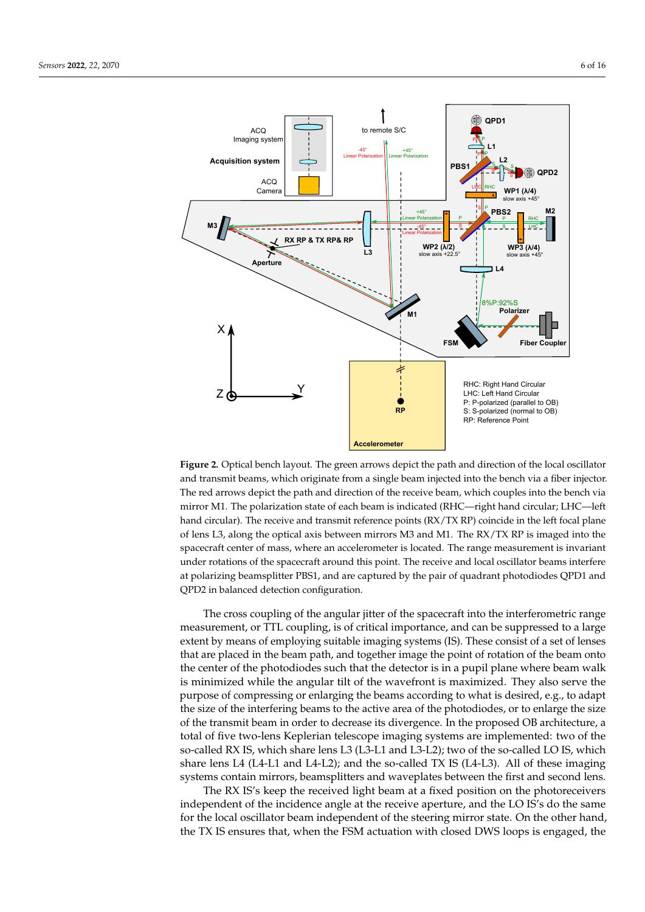<span id="page-5-0"></span>

**Figure 2.** Optical bench layout. The green arrows depict the path and direction of the local oscillator and transmit beams, which originate from a single beam injected into the bench via a fiber injector. The red arrows depict the path and direction of the receive beam, which couples into the bench via mirror M1. The polarization state of each beam is indicated (RHC—right hand circular; LHC—left hand circular). The receive and transmit reference points (RX/TX RP) coincide in the left focal plane of lens L3, along the optical axis between mirrors M3 and M1. The RX/TX RP is imaged into the spacecraft center of mass, where an accelerometer is located. The range measurement is invariant under rotations of the spacecraft around this point. The receive and local oscillator beams interfere at polarizing beamsplitter PBS1, and are captured by the pair of quadrant photodiodes QPD1 and QPD2 in balanced detection configuration.

The cross coupling of the angular jitter of the spacecraft into the interferometric range measurement, or TTL coupling, is of critical importance, and can be suppressed to a large extent by means of employing suitable imaging systems (IS). These consist of a set of lenses that are placed in the beam path, and together image the point of rotation of the beam onto the center of the photodiodes such that the detector is in a pupil plane where beam walk is minimized while the angular tilt of the wavefront is maximized. They also serve the purpose of compressing or enlarging the beams according to what is desired, e.g., to adapt the size of the interfering beams to the active area of the photodiodes, or to enlarge the size of the transmit beam in order to decrease its divergence. In the proposed OB architecture, a total of five two-lens Keplerian telescope imaging systems are implemented: two of the so-called RX IS, which share lens L3 (L3-L1 and L3-L2); two of the so-called LO IS, which share lens L4 (L4-L1 and L4-L2); and the so-called TX IS (L4-L3). All of these imaging systems contain mirrors, beamsplitters and waveplates between the first and second lens.

The RX IS's keep the received light beam at a fixed position on the photoreceivers independent of the incidence angle at the receive aperture, and the LO IS's do the same for the local oscillator beam independent of the steering mirror state. On the other hand, the TX IS ensures that, when the FSM actuation with closed DWS loops is engaged, the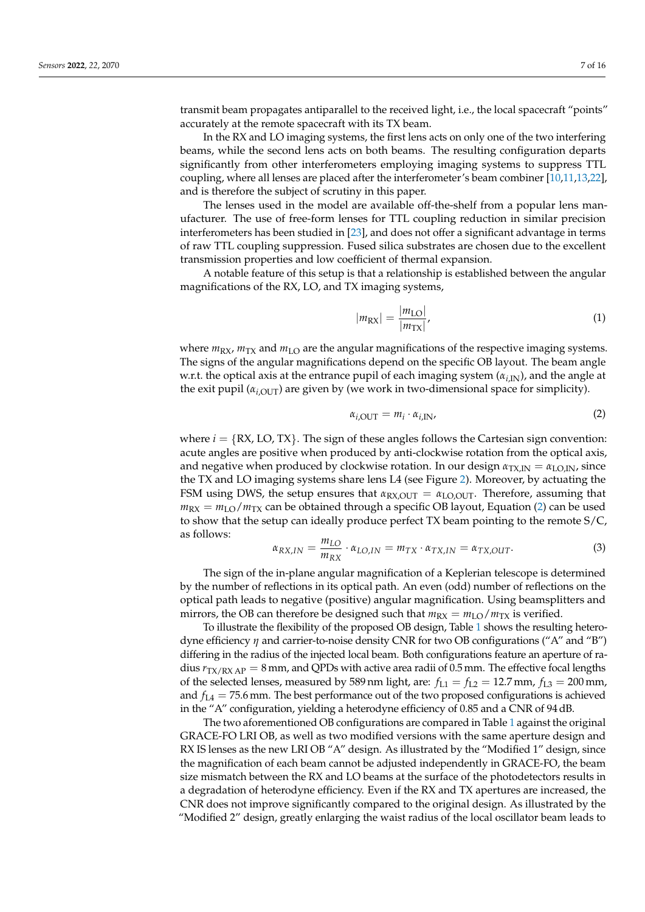transmit beam propagates antiparallel to the received light, i.e., the local spacecraft "points" accurately at the remote spacecraft with its TX beam.

In the RX and LO imaging systems, the first lens acts on only one of the two interfering beams, while the second lens acts on both beams. The resulting configuration departs significantly from other interferometers employing imaging systems to suppress TTL coupling, where all lenses are placed after the interferometer's beam combiner [\[10,](#page-14-8)[11](#page-14-11)[,13](#page-14-10)[,22\]](#page-15-5), and is therefore the subject of scrutiny in this paper.

The lenses used in the model are available off-the-shelf from a popular lens manufacturer. The use of free-form lenses for TTL coupling reduction in similar precision interferometers has been studied in [\[23\]](#page-15-6), and does not offer a significant advantage in terms of raw TTL coupling suppression. Fused silica substrates are chosen due to the excellent transmission properties and low coefficient of thermal expansion.

A notable feature of this setup is that a relationship is established between the angular magnifications of the RX, LO, and TX imaging systems,

$$
|m_{\text{RX}}| = \frac{|m_{\text{LO}}|}{|m_{\text{TX}}|},\tag{1}
$$

where  $m_{\text{RX}}$ ,  $m_{\text{TX}}$  and  $m_{\text{LO}}$  are the angular magnifications of the respective imaging systems. The signs of the angular magnifications depend on the specific OB layout. The beam angle w.r.t. the optical axis at the entrance pupil of each imaging system  $(\alpha_{i,N})$ , and the angle at the exit pupil ( $\alpha_{i,\text{OUT}}$ ) are given by (we work in two-dimensional space for simplicity).

<span id="page-6-0"></span>
$$
\alpha_{i,\text{OUT}} = m_i \cdot \alpha_{i,\text{IN}}.\tag{2}
$$

where  $i = \{RX, LO, TX\}$ . The sign of these angles follows the Cartesian sign convention: acute angles are positive when produced by anti-clockwise rotation from the optical axis, and negative when produced by clockwise rotation. In our design  $\alpha_{\text{TX,IN}} = \alpha_{\text{LO,IN}}$ , since the TX and LO imaging systems share lens L4 (see Figure [2\)](#page-5-0). Moreover, by actuating the FSM using DWS, the setup ensures that  $\alpha_{\text{RX,OUT}} = \alpha_{\text{LO,OUT}}$ . Therefore, assuming that  $m_{RX} = m_{I\Omega}/m_{TX}$  can be obtained through a specific OB layout, Equation [\(2\)](#page-6-0) can be used to show that the setup can ideally produce perfect TX beam pointing to the remote S/C, as follows:

$$
\alpha_{RX,IN} = \frac{m_{LO}}{m_{RX}} \cdot \alpha_{LO,IN} = m_{TX} \cdot \alpha_{TX,IN} = \alpha_{TX,OUT}.
$$
 (3)

The sign of the in-plane angular magnification of a Keplerian telescope is determined by the number of reflections in its optical path. An even (odd) number of reflections on the optical path leads to negative (positive) angular magnification. Using beamsplitters and mirrors, the OB can therefore be designed such that  $m_{RX} = m_{LO}/m_{TX}$  is verified.

To illustrate the flexibility of the proposed OB design, Table [1](#page-3-0) shows the resulting heterodyne efficiency *η* and carrier-to-noise density CNR for two OB configurations ("A" and "B") differing in the radius of the injected local beam. Both configurations feature an aperture of radius  $r_{\text{TX/RX AP}} = 8$  mm, and QPDs with active area radii of 0.5 mm. The effective focal lengths of the selected lenses, measured by 589 nm light, are:  $f_{L1} = f_{L2} = 12.7$  mm,  $f_{L3} = 200$  mm, and  $f_{L4} = 75.6$  mm. The best performance out of the two proposed configurations is achieved in the "A" configuration, yielding a heterodyne efficiency of 0.85 and a CNR of 94 dB.

The two aforementioned OB configurations are compared in Table [1](#page-3-0) against the original GRACE-FO LRI OB, as well as two modified versions with the same aperture design and RX IS lenses as the new LRI OB "A" design. As illustrated by the "Modified 1" design, since the magnification of each beam cannot be adjusted independently in GRACE-FO, the beam size mismatch between the RX and LO beams at the surface of the photodetectors results in a degradation of heterodyne efficiency. Even if the RX and TX apertures are increased, the CNR does not improve significantly compared to the original design. As illustrated by the "Modified 2" design, greatly enlarging the waist radius of the local oscillator beam leads to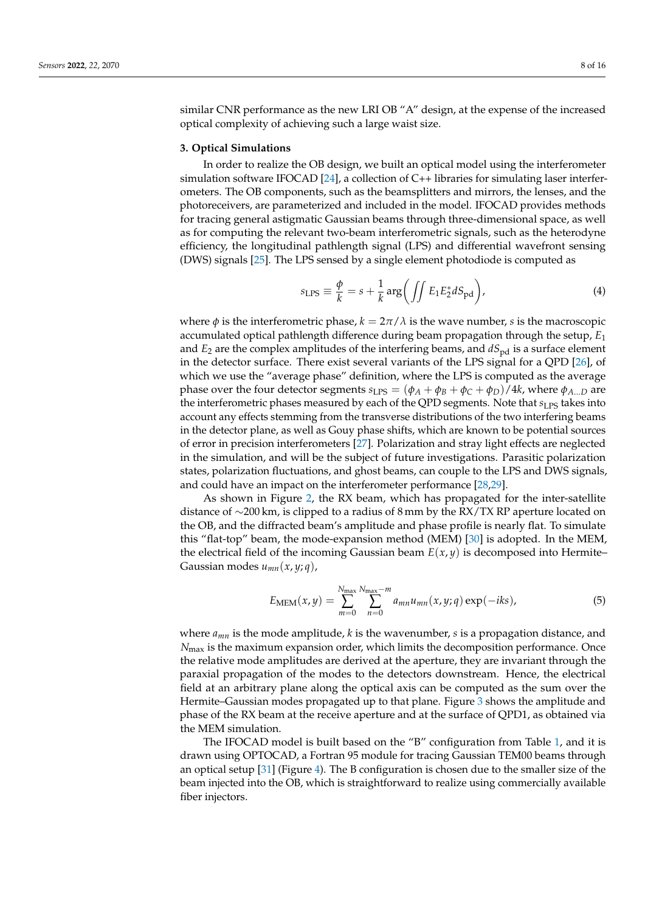similar CNR performance as the new LRI OB "A" design, at the expense of the increased optical complexity of achieving such a large waist size.

### <span id="page-7-0"></span>**3. Optical Simulations**

In order to realize the OB design, we built an optical model using the interferometer simulation software IFOCAD [\[24\]](#page-15-7), a collection of  $C_{++}$  libraries for simulating laser interferometers. The OB components, such as the beamsplitters and mirrors, the lenses, and the photoreceivers, are parameterized and included in the model. IFOCAD provides methods for tracing general astigmatic Gaussian beams through three-dimensional space, as well as for computing the relevant two-beam interferometric signals, such as the heterodyne efficiency, the longitudinal pathlength signal (LPS) and differential wavefront sensing (DWS) signals [\[25\]](#page-15-8). The LPS sensed by a single element photodiode is computed as

$$
s_{\text{LPS}} \equiv \frac{\phi}{k} = s + \frac{1}{k} \arg \left( \iint E_1 E_2^* dS_{\text{pd}} \right), \tag{4}
$$

where  $\phi$  is the interferometric phase,  $k = 2\pi/\lambda$  is the wave number, *s* is the macroscopic accumulated optical pathlength difference during beam propagation through the setup, *E*<sup>1</sup> and  $E_2$  are the complex amplitudes of the interfering beams, and  $dS_{\text{pd}}$  is a surface element in the detector surface. There exist several variants of the LPS signal for a QPD [\[26\]](#page-15-9), of which we use the "average phase" definition, where the LPS is computed as the average phase over the four detector segments  $s_{\text{LPS}} = (\phi_A + \phi_B + \phi_C + \phi_D)/4k$ , where  $\phi_{A\dots D}$  are the interferometric phases measured by each of the QPD segments. Note that *s*<sub>LPS</sub> takes into account any effects stemming from the transverse distributions of the two interfering beams in the detector plane, as well as Gouy phase shifts, which are known to be potential sources of error in precision interferometers [\[27\]](#page-15-10). Polarization and stray light effects are neglected in the simulation, and will be the subject of future investigations. Parasitic polarization states, polarization fluctuations, and ghost beams, can couple to the LPS and DWS signals, and could have an impact on the interferometer performance [\[28](#page-15-11)[,29\]](#page-15-12).

As shown in Figure [2,](#page-5-0) the RX beam, which has propagated for the inter-satellite distance of ∼200 km, is clipped to a radius of 8 mm by the RX/TX RP aperture located on the OB, and the diffracted beam's amplitude and phase profile is nearly flat. To simulate this "flat-top" beam, the mode-expansion method (MEM) [\[30\]](#page-15-13) is adopted. In the MEM, the electrical field of the incoming Gaussian beam  $E(x, y)$  is decomposed into Hermite– Gaussian modes *umn*(*x*, *y*; *q*),

$$
E_{\text{MEM}}(x,y) = \sum_{m=0}^{N_{\text{max}}} \sum_{n=0}^{N_{\text{max}}-m} a_{mn} u_{mn}(x,y;q) \exp(-iks), \tag{5}
$$

where *amn* is the mode amplitude, *k* is the wavenumber, *s* is a propagation distance, and  $N_{\text{max}}$  is the maximum expansion order, which limits the decomposition performance. Once the relative mode amplitudes are derived at the aperture, they are invariant through the paraxial propagation of the modes to the detectors downstream. Hence, the electrical field at an arbitrary plane along the optical axis can be computed as the sum over the Hermite–Gaussian modes propagated up to that plane. Figure [3](#page-8-0) shows the amplitude and phase of the RX beam at the receive aperture and at the surface of QPD1, as obtained via the MEM simulation.

The IFOCAD model is built based on the "B" configuration from Table [1,](#page-3-0) and it is drawn using OPTOCAD, a Fortran 95 module for tracing Gaussian TEM00 beams through an optical setup [\[31\]](#page-15-14) (Figure [4\)](#page-8-1). The B configuration is chosen due to the smaller size of the beam injected into the OB, which is straightforward to realize using commercially available fiber injectors.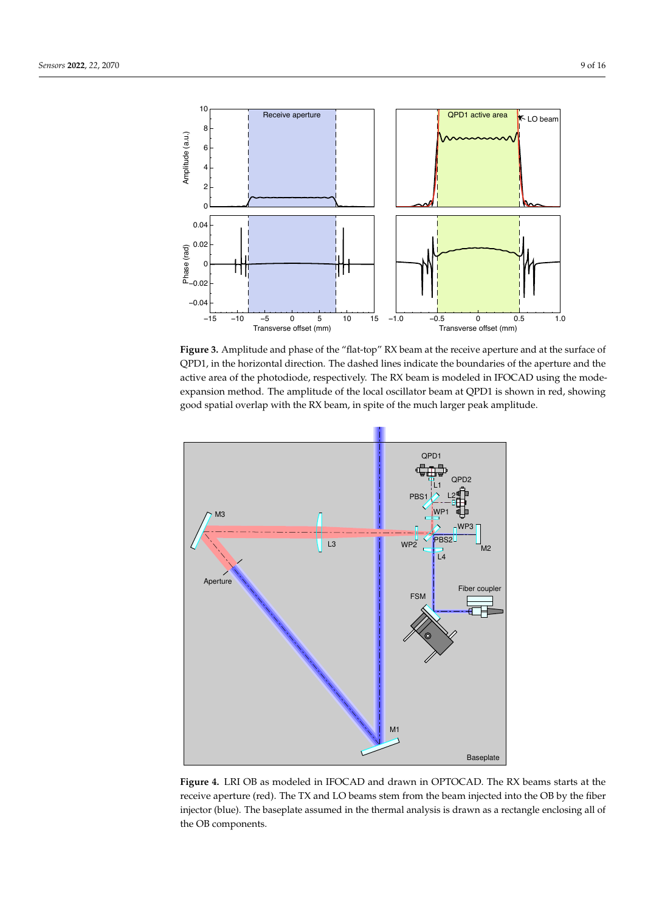<span id="page-8-0"></span>

**Figure 3.** Amplitude and phase of the "flat-top" RX beam at the receive aperture and at the surface of QPD1, in the horizontal direction. The dashed lines indicate the boundaries of the aperture and the active area of the photodiode, respectively. The RX beam is modeled in IFOCAD using the modeexpansion method. The amplitude of the local oscillator beam at QPD1 is shown in red, showing good spatial overlap with the RX beam, in spite of the much larger peak amplitude.

<span id="page-8-1"></span>

**Figure 4.** LRI OB as modeled in IFOCAD and drawn in OPTOCAD. The RX beams starts at the receive aperture (red). The TX and LO beams stem from the beam injected into the OB by the fiber injector (blue). The baseplate assumed in the thermal analysis is drawn as a rectangle enclosing all of the OB components.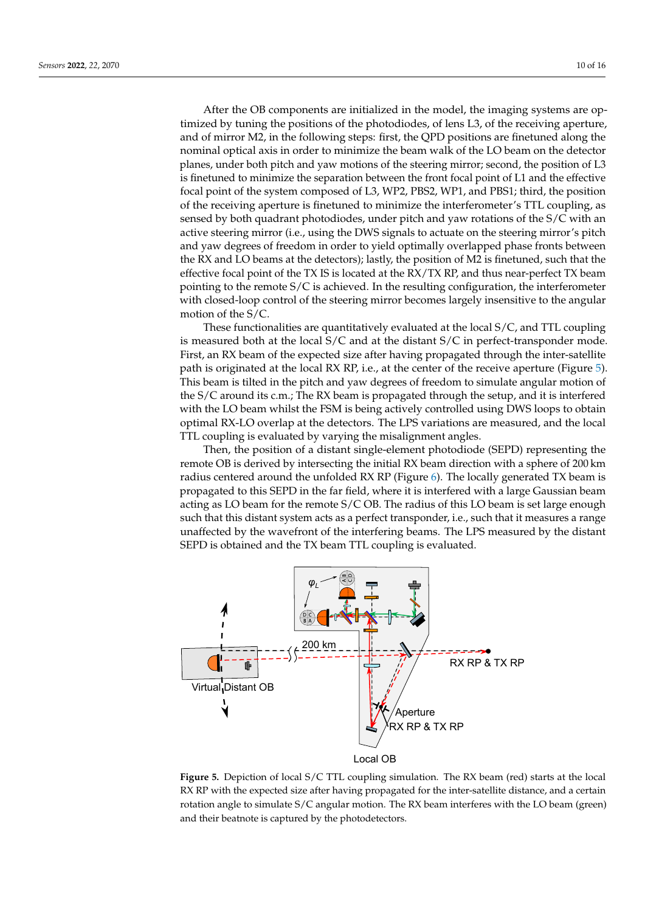After the OB components are initialized in the model, the imaging systems are optimized by tuning the positions of the photodiodes, of lens L3, of the receiving aperture, and of mirror M2, in the following steps: first, the QPD positions are finetuned along the nominal optical axis in order to minimize the beam walk of the LO beam on the detector planes, under both pitch and yaw motions of the steering mirror; second, the position of L3 is finetuned to minimize the separation between the front focal point of L1 and the effective focal point of the system composed of L3, WP2, PBS2, WP1, and PBS1; third, the position of the receiving aperture is finetuned to minimize the interferometer's TTL coupling, as sensed by both quadrant photodiodes, under pitch and yaw rotations of the S/C with an active steering mirror (i.e., using the DWS signals to actuate on the steering mirror's pitch and yaw degrees of freedom in order to yield optimally overlapped phase fronts between the RX and LO beams at the detectors); lastly, the position of M2 is finetuned, such that the effective focal point of the TX IS is located at the RX/TX RP, and thus near-perfect TX beam pointing to the remote S/C is achieved. In the resulting configuration, the interferometer with closed-loop control of the steering mirror becomes largely insensitive to the angular motion of the S/C.

These functionalities are quantitatively evaluated at the local S/C, and TTL coupling is measured both at the local S/C and at the distant S/C in perfect-transponder mode. First, an RX beam of the expected size after having propagated through the inter-satellite path is originated at the local RX RP, i.e., at the center of the receive aperture (Figure [5\)](#page-9-0). This beam is tilted in the pitch and yaw degrees of freedom to simulate angular motion of the S/C around its c.m.; The RX beam is propagated through the setup, and it is interfered with the LO beam whilst the FSM is being actively controlled using DWS loops to obtain optimal RX-LO overlap at the detectors. The LPS variations are measured, and the local TTL coupling is evaluated by varying the misalignment angles.

Then, the position of a distant single-element photodiode (SEPD) representing the remote OB is derived by intersecting the initial RX beam direction with a sphere of 200 km radius centered around the unfolded RX RP (Figure [6\)](#page-10-0). The locally generated TX beam is propagated to this SEPD in the far field, where it is interfered with a large Gaussian beam acting as LO beam for the remote S/C OB. The radius of this LO beam is set large enough such that this distant system acts as a perfect transponder, i.e., such that it measures a range unaffected by the wavefront of the interfering beams. The LPS measured by the distant SEPD is obtained and the TX beam TTL coupling is evaluated.

<span id="page-9-0"></span>

**Figure 5.** Depiction of local S/C TTL coupling simulation. The RX beam (red) starts at the local RX RP with the expected size after having propagated for the inter-satellite distance, and a certain rotation angle to simulate S/C angular motion. The RX beam interferes with the LO beam (green) and their beatnote is captured by the photodetectors.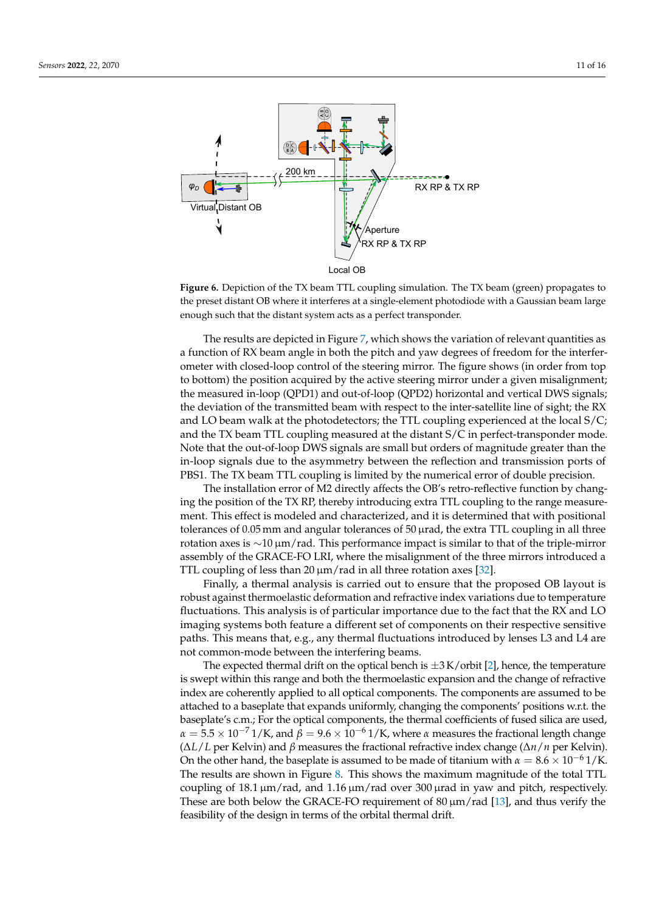<span id="page-10-0"></span>

**Figure 6.** Depiction of the TX beam TTL coupling simulation. The TX beam (green) propagates to the preset distant OB where it interferes at a single-element photodiode with a Gaussian beam large enough such that the distant system acts as a perfect transponder.

The results are depicted in Figure [7,](#page-11-0) which shows the variation of relevant quantities as a function of RX beam angle in both the pitch and yaw degrees of freedom for the interferometer with closed-loop control of the steering mirror. The figure shows (in order from top to bottom) the position acquired by the active steering mirror under a given misalignment; the measured in-loop (QPD1) and out-of-loop (QPD2) horizontal and vertical DWS signals; the deviation of the transmitted beam with respect to the inter-satellite line of sight; the RX and LO beam walk at the photodetectors; the TTL coupling experienced at the local  $S/C$ ; and the TX beam TTL coupling measured at the distant S/C in perfect-transponder mode. Note that the out-of-loop DWS signals are small but orders of magnitude greater than the in-loop signals due to the asymmetry between the reflection and transmission ports of PBS1. The TX beam TTL coupling is limited by the numerical error of double precision.

The installation error of M2 directly affects the OB's retro-reflective function by changing the position of the TX RP, thereby introducing extra TTL coupling to the range measurement. This effect is modeled and characterized, and it is determined that with positional tolerances of 0.05 mm and angular tolerances of 50  $\mu$ rad, the extra TTL coupling in all three rotation axes is ∼10 µm/rad. This performance impact is similar to that of the triple-mirror assembly of the GRACE-FO LRI, where the misalignment of the three mirrors introduced a TTL coupling of less than 20  $\mu$ m/rad in all three rotation axes [\[32\]](#page-15-15).

Finally, a thermal analysis is carried out to ensure that the proposed OB layout is robust against thermoelastic deformation and refractive index variations due to temperature fluctuations. This analysis is of particular importance due to the fact that the RX and LO imaging systems both feature a different set of components on their respective sensitive paths. This means that, e.g., any thermal fluctuations introduced by lenses L3 and L4 are not common-mode between the interfering beams.

The expected thermal drift on the optical bench is  $\pm 3$  K/orbit [\[2\]](#page-14-1), hence, the temperature is swept within this range and both the thermoelastic expansion and the change of refractive index are coherently applied to all optical components. The components are assumed to be attached to a baseplate that expands uniformly, changing the components' positions w.r.t. the baseplate's c.m.; For the optical components, the thermal coefficients of fused silica are used,  $\alpha = 5.5 \times 10^{-7}$  1/K, and  $\beta = 9.6 \times 10^{-6}$  1/K, where  $\alpha$  measures the fractional length change (∆*L*/*L* per Kelvin) and *β* measures the fractional refractive index change (∆*n*/*n* per Kelvin). On the other hand, the baseplate is assumed to be made of titanium with  $\alpha = 8.6 \times 10^{-6}$  1/K. The results are shown in Figure [8.](#page-12-1) This shows the maximum magnitude of the total TTL coupling of  $18.1 \,\mathrm{\upmu m/rad}$ , and  $1.16 \,\mathrm{\upmu m/rad}$  over  $300 \,\mathrm{\upmu rad}$  in yaw and pitch, respectively. These are both below the GRACE-FO requirement of  $80 \mu m/r$  and  $[13]$ , and thus verify the feasibility of the design in terms of the orbital thermal drift.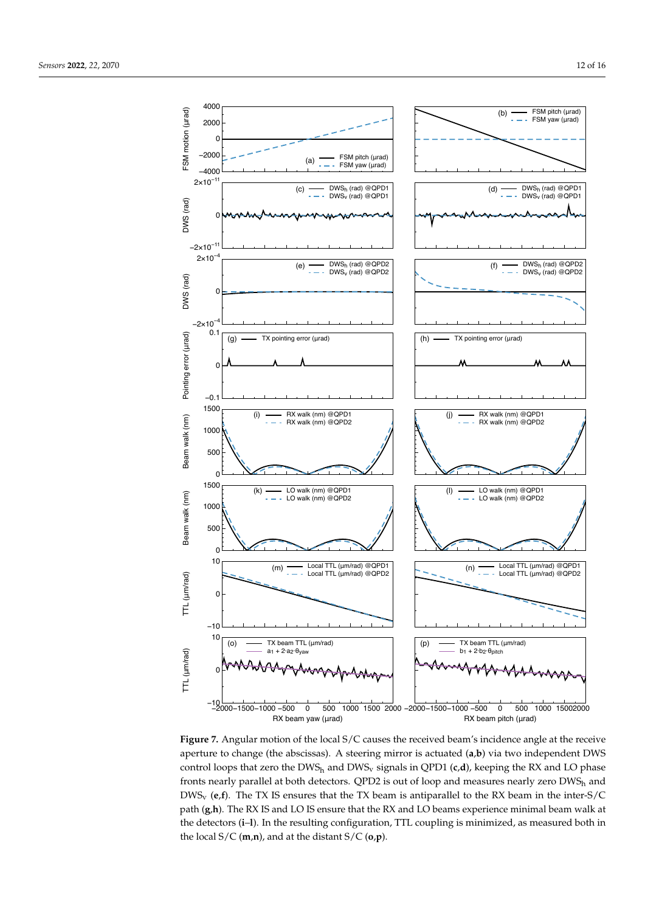<span id="page-11-0"></span>

Figure 7. Angular motion of the local S/C causes the received beam's incidence angle at the receive aperture to change (the abscissas). A steering mirror is actuated (**a**,**b**) via two independent DWS control loops that zero the DWS<sub>h</sub> and DWS<sub>v</sub> signals in QPD1 (c,d), keeping the RX and LO phase fronts nearly parallel at both detectors. QPD2 is out of loop and measures nearly zero DWS<sub>h</sub> and DWSv (**e**,**f**). The TX IS ensures that the TX beam is antiparallel to the RX beam in the inter-S/C path (**g**,**h**). The RX IS and LO IS ensure that the RX and LO beams experience minimal beam walk at the detectors (**i**–**l**). In the resulting configuration, TTL coupling is minimized, as measured both in the local S/C (**m**,**n**), and at the distant S/C (**o**,**p**).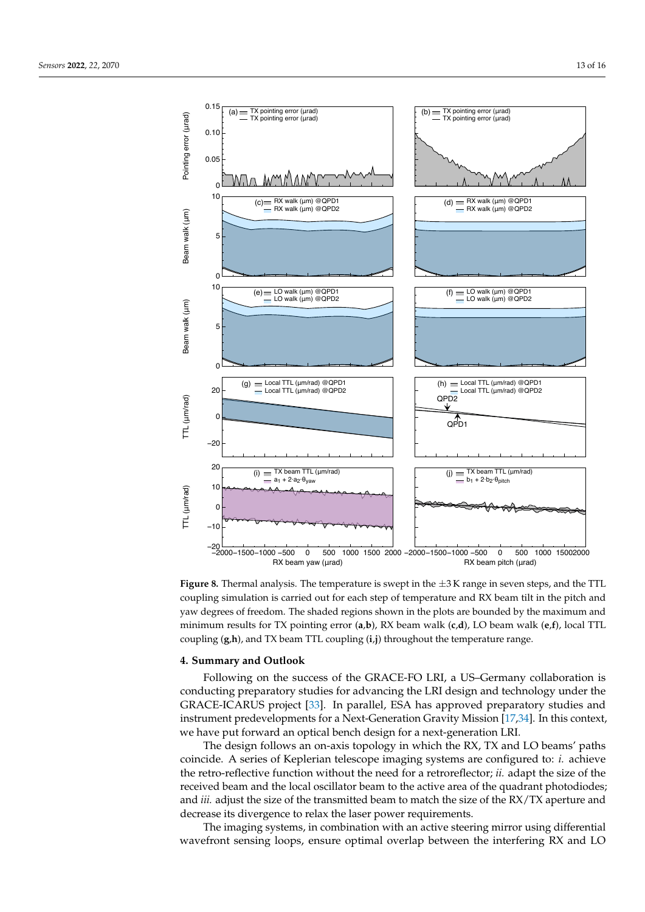<span id="page-12-1"></span>

**Figure 8.** Thermal analysis. The temperature is swept in the ±3 K range in seven steps, and the TTL coupling simulation is carried out for each step of temperature and RX beam tilt in the pitch and yaw degrees of freedom. The shaded regions shown in the plots are bounded by the maximum and minimum results for TX pointing error (**a**,**b**), RX beam walk (**c**,**d**), LO beam walk (**e**,**f**), local TTL coupling (**g**,**h**), and TX beam TTL coupling (**i**,**j**) throughout the temperature range.

## <span id="page-12-0"></span>**4. Summary and Outlook**

Following on the success of the GRACE-FO LRI, a US–Germany collaboration is conducting preparatory studies for advancing the LRI design and technology under the GRACE-ICARUS project [\[33\]](#page-15-16). In parallel, ESA has approved preparatory studies and instrument predevelopments for a Next-Generation Gravity Mission [\[17,](#page-15-0)[34\]](#page-15-17). In this context, we have put forward an optical bench design for a next-generation LRI.

The design follows an on-axis topology in which the RX, TX and LO beams' paths coincide. A series of Keplerian telescope imaging systems are configured to: *i.* achieve the retro-reflective function without the need for a retroreflector; *ii.* adapt the size of the received beam and the local oscillator beam to the active area of the quadrant photodiodes; and *iii.* adjust the size of the transmitted beam to match the size of the RX/TX aperture and decrease its divergence to relax the laser power requirements.

The imaging systems, in combination with an active steering mirror using differential wavefront sensing loops, ensure optimal overlap between the interfering RX and LO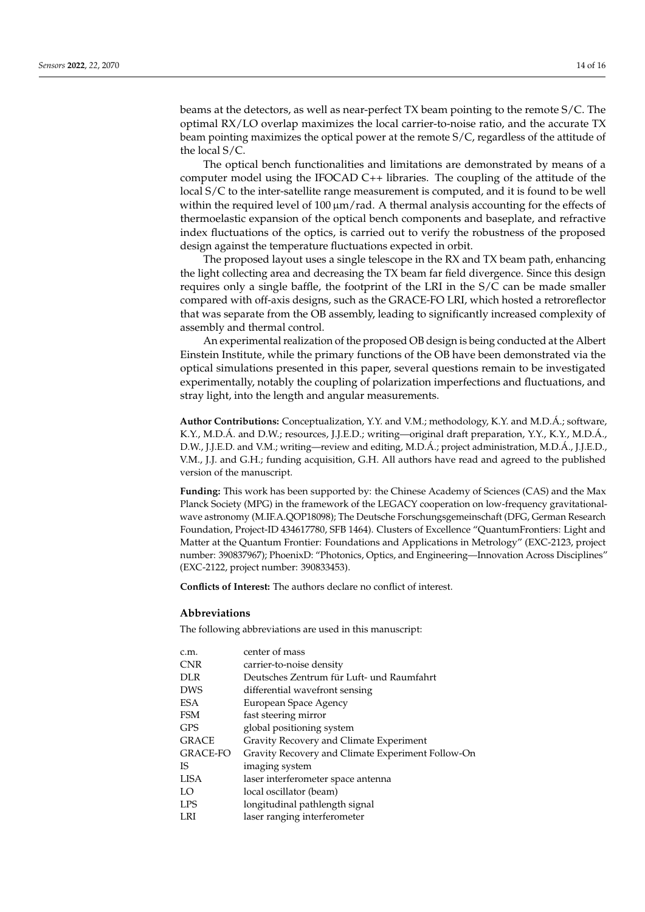beams at the detectors, as well as near-perfect TX beam pointing to the remote S/C. The optimal RX/LO overlap maximizes the local carrier-to-noise ratio, and the accurate TX beam pointing maximizes the optical power at the remote S/C, regardless of the attitude of the local S/C.

The optical bench functionalities and limitations are demonstrated by means of a computer model using the IFOCAD C++ libraries. The coupling of the attitude of the local S/C to the inter-satellite range measurement is computed, and it is found to be well within the required level of  $100 \mu m/r$ ad. A thermal analysis accounting for the effects of thermoelastic expansion of the optical bench components and baseplate, and refractive index fluctuations of the optics, is carried out to verify the robustness of the proposed design against the temperature fluctuations expected in orbit.

The proposed layout uses a single telescope in the RX and TX beam path, enhancing the light collecting area and decreasing the TX beam far field divergence. Since this design requires only a single baffle, the footprint of the LRI in the S/C can be made smaller compared with off-axis designs, such as the GRACE-FO LRI, which hosted a retroreflector that was separate from the OB assembly, leading to significantly increased complexity of assembly and thermal control.

An experimental realization of the proposed OB design is being conducted at the Albert Einstein Institute, while the primary functions of the OB have been demonstrated via the optical simulations presented in this paper, several questions remain to be investigated experimentally, notably the coupling of polarization imperfections and fluctuations, and stray light, into the length and angular measurements.

**Author Contributions:** Conceptualization, Y.Y. and V.M.; methodology, K.Y. and M.D.Á.; software, K.Y., M.D.Á. and D.W.; resources, J.J.E.D.; writing—original draft preparation, Y.Y., K.Y., M.D.Á., D.W., J.J.E.D. and V.M.; writing—review and editing, M.D.Á.; project administration, M.D.Á., J.J.E.D., V.M., J.J. and G.H.; funding acquisition, G.H. All authors have read and agreed to the published version of the manuscript.

**Funding:** This work has been supported by: the Chinese Academy of Sciences (CAS) and the Max Planck Society (MPG) in the framework of the LEGACY cooperation on low-frequency gravitationalwave astronomy (M.IF.A.QOP18098); The Deutsche Forschungsgemeinschaft (DFG, German Research Foundation, Project-ID 434617780, SFB 1464). Clusters of Excellence "QuantumFrontiers: Light and Matter at the Quantum Frontier: Foundations and Applications in Metrology" (EXC-2123, project number: 390837967); PhoenixD: "Photonics, Optics, and Engineering—Innovation Across Disciplines" (EXC-2122, project number: 390833453).

**Conflicts of Interest:** The authors declare no conflict of interest.

#### **Abbreviations**

The following abbreviations are used in this manuscript:

| c.m.            | center of mass                                    |
|-----------------|---------------------------------------------------|
| <b>CNR</b>      | carrier-to-noise density                          |
| <b>DLR</b>      | Deutsches Zentrum für Luft- und Raumfahrt         |
| <b>DWS</b>      | differential wavefront sensing                    |
| <b>ESA</b>      | European Space Agency                             |
| <b>FSM</b>      | fast steering mirror                              |
| <b>GPS</b>      | global positioning system                         |
| <b>GRACE</b>    | Gravity Recovery and Climate Experiment           |
| <b>GRACE-FO</b> | Gravity Recovery and Climate Experiment Follow-On |
| IS.             | imaging system                                    |
| <b>LISA</b>     | laser interferometer space antenna                |
| LO              | local oscillator (beam)                           |
| <b>LPS</b>      | longitudinal pathlength signal                    |
| LRI             | laser ranging interferometer                      |
|                 |                                                   |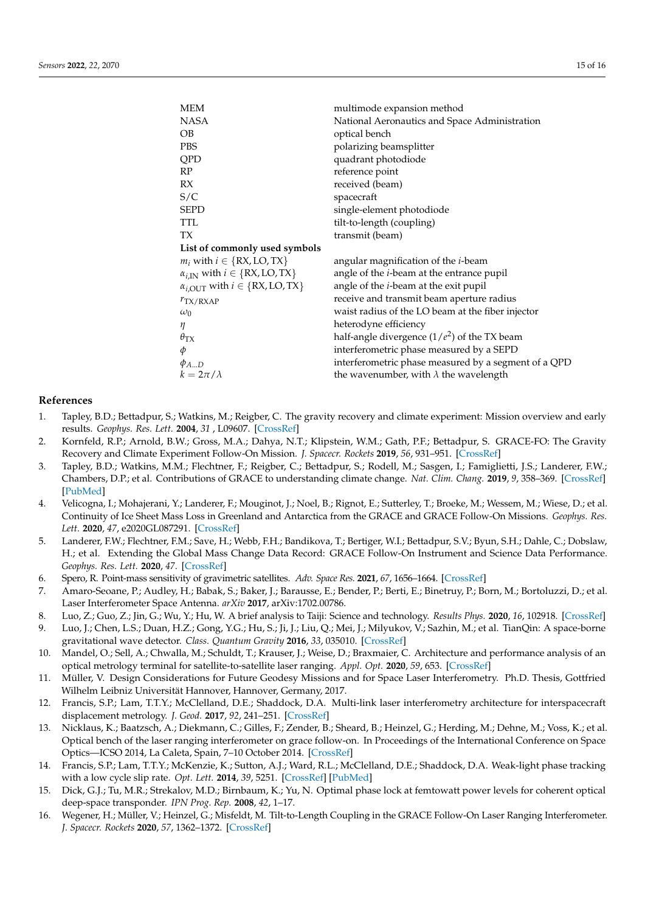| <b>MEM</b>                                          | multimode expansion method                           |
|-----------------------------------------------------|------------------------------------------------------|
| <b>NASA</b>                                         | National Aeronautics and Space Administration        |
| OВ                                                  | optical bench                                        |
| <b>PBS</b>                                          | polarizing beamsplitter                              |
| QPD                                                 | quadrant photodiode                                  |
| RP                                                  | reference point                                      |
| RX                                                  | received (beam)                                      |
| S/C                                                 | spacecraft                                           |
| <b>SEPD</b>                                         | single-element photodiode                            |
| <b>TTL</b>                                          | tilt-to-length (coupling)                            |
| TХ                                                  | transmit (beam)                                      |
| List of commonly used symbols                       |                                                      |
| $m_i$ with $i \in \{RX, LO, TX\}$                   | angular magnification of the <i>i</i> -beam          |
| $\alpha_{i,IN}$ with $i \in \{RX, LO, TX\}$         | angle of the <i>i</i> -beam at the entrance pupil    |
| $\alpha_{i,\text{OUT}}$ with $i \in \{RX, LO, TX\}$ | angle of the <i>i</i> -beam at the exit pupil        |
| $r_{\rm TX/RXAP}$                                   | receive and transmit beam aperture radius            |
| $\omega_0$                                          | waist radius of the LO beam at the fiber injector    |
| η                                                   | heterodyne efficiency                                |
| $\theta_{\rm TX}$                                   | half-angle divergence $(1/e^2)$ of the TX beam       |
| φ                                                   | interferometric phase measured by a SEPD             |
| $\phi_{AD}$                                         | interferometric phase measured by a segment of a QPD |
| $k=2\pi/\lambda$                                    | the wavenumber, with $\lambda$ the wavelength        |
|                                                     |                                                      |

# **References**

- <span id="page-14-0"></span>1. Tapley, B.D.; Bettadpur, S.; Watkins, M.; Reigber, C. The gravity recovery and climate experiment: Mission overview and early results. *Geophys. Res. Lett.* **2004**, *31* , L09607. [\[CrossRef\]](http://doi.org/10.1029/2004GL019920)
- <span id="page-14-1"></span>2. Kornfeld, R.P.; Arnold, B.W.; Gross, M.A.; Dahya, N.T.; Klipstein, W.M.; Gath, P.F.; Bettadpur, S. GRACE-FO: The Gravity Recovery and Climate Experiment Follow-On Mission. *J. Spacecr. Rockets* **2019**, *56*, 931–951. [\[CrossRef\]](http://dx.doi.org/10.2514/1.A34326)
- <span id="page-14-2"></span>3. Tapley, B.D.; Watkins, M.M.; Flechtner, F.; Reigber, C.; Bettadpur, S.; Rodell, M.; Sasgen, I.; Famiglietti, J.S.; Landerer, F.W.; Chambers, D.P.; et al. Contributions of GRACE to understanding climate change. *Nat. Clim. Chang.* **2019**, *9*, 358–369. [\[CrossRef\]](http://dx.doi.org/10.1038/s41558-019-0456-2) [\[PubMed\]](http://www.ncbi.nlm.nih.gov/pubmed/31534490)
- 4. Velicogna, I.; Mohajerani, Y.; Landerer, F.; Mouginot, J.; Noel, B.; Rignot, E.; Sutterley, T.; Broeke, M.; Wessem, M.; Wiese, D.; et al. Continuity of Ice Sheet Mass Loss in Greenland and Antarctica from the GRACE and GRACE Follow-On Missions. *Geophys. Res. Lett.* **2020**, *47*, e2020GL087291. [\[CrossRef\]](http://dx.doi.org/10.1029/2020GL087291)
- <span id="page-14-3"></span>5. Landerer, F.W.; Flechtner, F.M.; Save, H.; Webb, F.H.; Bandikova, T.; Bertiger, W.I.; Bettadpur, S.V.; Byun, S.H.; Dahle, C.; Dobslaw, H.; et al. Extending the Global Mass Change Data Record: GRACE Follow-On Instrument and Science Data Performance. *Geophys. Res. Lett.* **2020**, *47*. [\[CrossRef\]](http://dx.doi.org/10.1029/2020GL088306)
- <span id="page-14-4"></span>6. Spero, R. Point-mass sensitivity of gravimetric satellites. *Adv. Space Res.* **2021**, *67*, 1656–1664. [\[CrossRef\]](http://dx.doi.org/10.1016/j.asr.2020.12.019)
- <span id="page-14-5"></span>7. Amaro-Seoane, P.; Audley, H.; Babak, S.; Baker, J.; Barausse, E.; Bender, P.; Berti, E.; Binetruy, P.; Born, M.; Bortoluzzi, D.; et al. Laser Interferometer Space Antenna. *arXiv* **2017**, arXiv:1702.00786.
- <span id="page-14-6"></span>8. Luo, Z.; Guo, Z.; Jin, G.; Wu, Y.; Hu, W. A brief analysis to Taiji: Science and technology. *Results Phys.* **2020**, *16*, 102918. [\[CrossRef\]](http://dx.doi.org/10.1016/j.rinp.2019.102918)
- <span id="page-14-7"></span>9. Luo, J.; Chen, L.S.; Duan, H.Z.; Gong, Y.G.; Hu, S.; Ji, J.; Liu, Q.; Mei, J.; Milyukov, V.; Sazhin, M.; et al. TianQin: A space-borne gravitational wave detector. *Class. Quantum Gravity* **2016**, *33*, 035010. [\[CrossRef\]](http://dx.doi.org/10.1088/0264-9381/33/3/035010)
- <span id="page-14-8"></span>10. Mandel, O.; Sell, A.; Chwalla, M.; Schuldt, T.; Krauser, J.; Weise, D.; Braxmaier, C. Architecture and performance analysis of an optical metrology terminal for satellite-to-satellite laser ranging. *Appl. Opt.* **2020**, *59*, 653. [\[CrossRef\]](http://dx.doi.org/10.1364/AO.378658)
- <span id="page-14-11"></span>11. Müller, V. Design Considerations for Future Geodesy Missions and for Space Laser Interferometry. Ph.D. Thesis, Gottfried Wilhelm Leibniz Universität Hannover, Hannover, Germany, 2017.
- <span id="page-14-9"></span>12. Francis, S.P.; Lam, T.T.Y.; McClelland, D.E.; Shaddock, D.A. Multi-link laser interferometry architecture for interspacecraft displacement metrology. *J. Geod.* **2017**, *92*, 241–251. [\[CrossRef\]](http://dx.doi.org/10.1007/s00190-017-1059-1)
- <span id="page-14-10"></span>13. Nicklaus, K.; Baatzsch, A.; Diekmann, C.; Gilles, F.; Zender, B.; Sheard, B.; Heinzel, G.; Herding, M.; Dehne, M.; Voss, K.; et al. Optical bench of the laser ranging interferometer on grace follow-on. In Proceedings of the International Conference on Space Optics—ICSO 2014, La Caleta, Spain, 7–10 October 2014. [\[CrossRef\]](http://dx.doi.org/10.1117/12.2304195)
- <span id="page-14-12"></span>14. Francis, S.P.; Lam, T.T.Y.; McKenzie, K.; Sutton, A.J.; Ward, R.L.; McClelland, D.E.; Shaddock, D.A. Weak-light phase tracking with a low cycle slip rate. *Opt. Lett.* **2014**, *39*, 5251. [\[CrossRef\]](http://dx.doi.org/10.1364/OL.39.005251) [\[PubMed\]](http://www.ncbi.nlm.nih.gov/pubmed/26466243)
- <span id="page-14-13"></span>15. Dick, G.J.; Tu, M.R.; Strekalov, M.D.; Birnbaum, K.; Yu, N. Optimal phase lock at femtowatt power levels for coherent optical deep-space transponder. *IPN Prog. Rep.* **2008**, *42*, 1–17.
- <span id="page-14-14"></span>16. Wegener, H.; Müller, V.; Heinzel, G.; Misfeldt, M. Tilt-to-Length Coupling in the GRACE Follow-On Laser Ranging Interferometer. *J. Spacecr. Rockets* **2020**, *57*, 1362–1372. [\[CrossRef\]](http://dx.doi.org/10.2514/1.A34790)